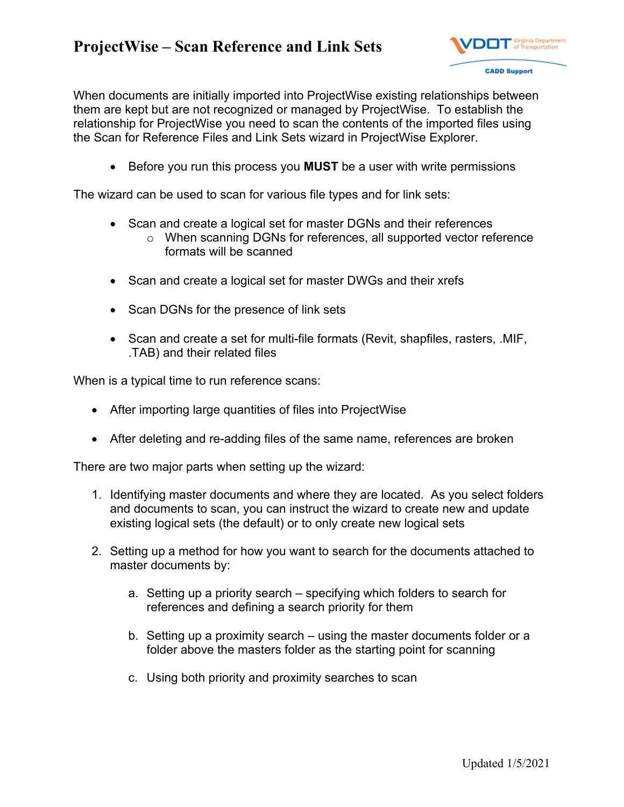

When documents are initially imported into ProjectWise existing relationships between them are kept but are not recognized or managed by ProjectWise. To establish the relationship for ProjectWise you need to scan the contents of the imported files using the Scan for Reference Files and Link Sets wizard in ProjectWise Explorer.

Before you run this process you **MUST** be a user with write permissions

The wizard can be used to scan for various file types and for link sets:

- Scan and create a logical set for master DGNs and their references
	- o When scanning DGNs for references, all supported vector reference formats will be scanned
- Scan and create a logical set for master DWGs and their xrefs
- Scan DGNs for the presence of link sets
- Scan and create a set for multi-file formats (Revit, shapfiles, rasters, .MIF, .TAB) and their related files

When is a typical time to run reference scans:

- After importing large quantities of files into ProjectWise
- After deleting and re-adding files of the same name, references are broken

There are two major parts when setting up the wizard:

- 1. Identifying master documents and where they are located. As you select folders and documents to scan, you can instruct the wizard to create new and update existing logical sets (the default) or to only create new logical sets
- 2. Setting up a method for how you want to search for the documents attached to master documents by:
	- a. Setting up a priority search specifying which folders to search for references and defining a search priority for them
	- b. Setting up a proximity search using the master documents folder or a folder above the masters folder as the starting point for scanning
	- c. Using both priority and proximity searches to scan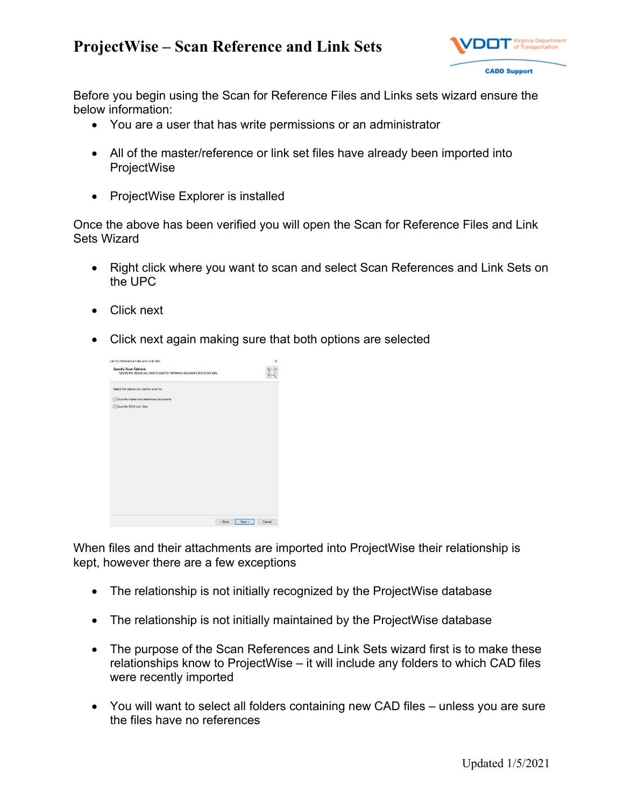

Before you begin using the Scan for Reference Files and Links sets wizard ensure the below information:

- You are a user that has write permissions or an administrator
- All of the master/reference or link set files have already been imported into ProjectWise
- ProjectWise Explorer is installed

Once the above has been verified you will open the Scan for Reference Files and Link Sets Wizard

- Right click where you want to scan and select Scan References and Link Sets on the UPC
- Click next
- Click next again making sure that both options are selected



When files and their attachments are imported into ProjectWise their relationship is kept, however there are a few exceptions

- The relationship is not initially recognized by the ProjectWise database
- The relationship is not initially maintained by the ProjectWise database
- The purpose of the Scan References and Link Sets wizard first is to make these relationships know to ProjectWise – it will include any folders to which CAD files were recently imported
- You will want to select all folders containing new CAD files unless you are sure the files have no references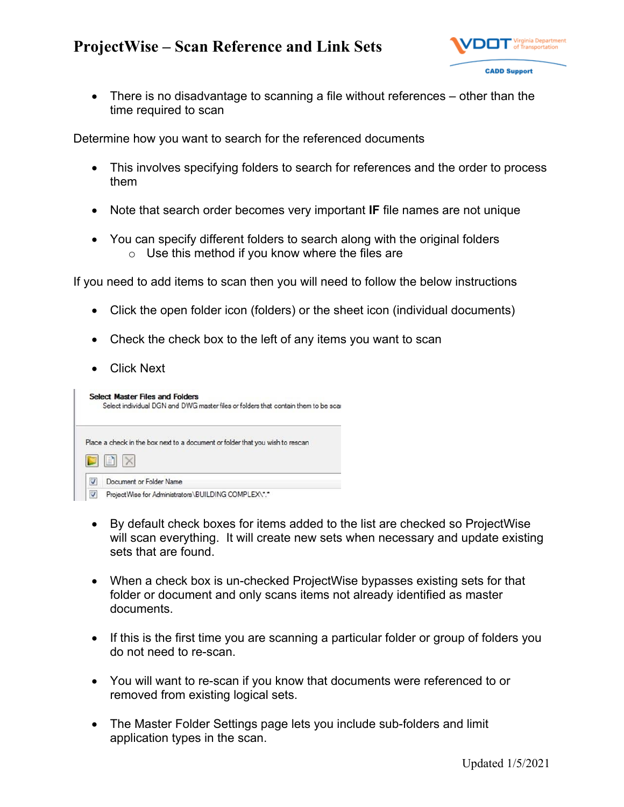

 There is no disadvantage to scanning a file without references – other than the time required to scan

Determine how you want to search for the referenced documents

- This involves specifying folders to search for references and the order to process them
- Note that search order becomes very important **IF** file names are not unique
- You can specify different folders to search along with the original folders  $\circ$  Use this method if you know where the files are

If you need to add items to scan then you will need to follow the below instructions

- Click the open folder icon (folders) or the sheet icon (individual documents)
- Check the check box to the left of any items you want to scan
- Click Next

|   | <b>Select Master Files and Folders</b><br>Select individual DGN and DWG master files or folders that contain them to be scar |
|---|------------------------------------------------------------------------------------------------------------------------------|
|   | Place a check in the box next to a document or folder that you wish to rescan                                                |
|   |                                                                                                                              |
| V | Document or Folder Name                                                                                                      |
| V | ProjectWise for Administrators\BUILDING COMPLEX\*.*                                                                          |

- By default check boxes for items added to the list are checked so ProjectWise will scan everything. It will create new sets when necessary and update existing sets that are found.
- When a check box is un-checked ProjectWise bypasses existing sets for that folder or document and only scans items not already identified as master documents.
- If this is the first time you are scanning a particular folder or group of folders you do not need to re-scan.
- You will want to re-scan if you know that documents were referenced to or removed from existing logical sets.
- The Master Folder Settings page lets you include sub-folders and limit application types in the scan.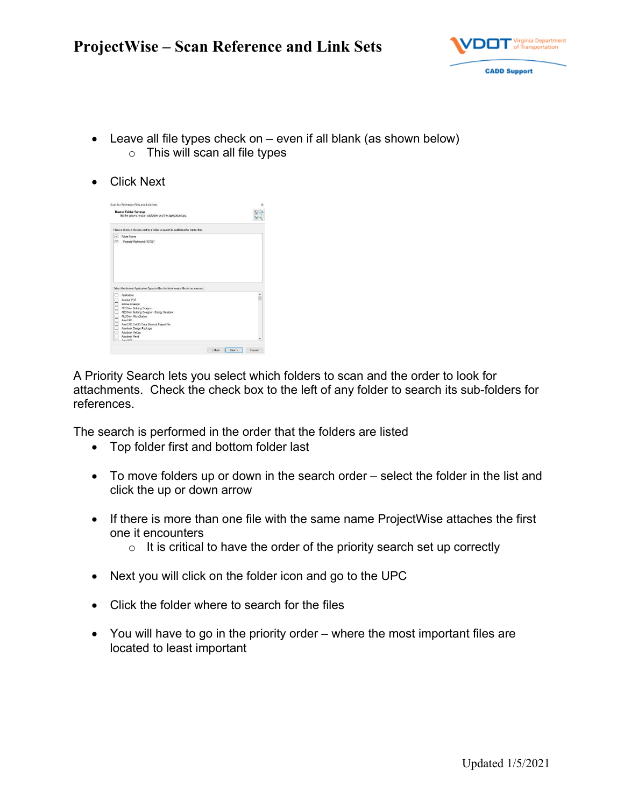

- Leave all file types check on even if all blank (as shown below)  $\circ$  This will scan all file types
- Click Next

| <b>Master Folder Settings</b><br>Set the options to scan subfolders and the application type. |                                                                                       |  |  |  |
|-----------------------------------------------------------------------------------------------|---------------------------------------------------------------------------------------|--|--|--|
|                                                                                               | Place a check in the box next to a folder to search its subfolders for master files.  |  |  |  |
| М<br>☑                                                                                        | Folder Name<br>Projects\Richmond\107081                                               |  |  |  |
|                                                                                               |                                                                                       |  |  |  |
|                                                                                               |                                                                                       |  |  |  |
|                                                                                               | Select the desired Application Types to filter the list of master files to be scanned |  |  |  |
|                                                                                               | Application<br>Acrobat PDF                                                            |  |  |  |
|                                                                                               | Adobe InDesign                                                                        |  |  |  |
|                                                                                               | AECOsin Bulding Designer                                                              |  |  |  |
|                                                                                               | AECOsm Building Designer - Energy Smulator                                            |  |  |  |
|                                                                                               | AFCOsin Minn-Station                                                                  |  |  |  |
|                                                                                               | AndCAD                                                                                |  |  |  |
|                                                                                               | AutoCAD Civil 3D Data Shortcut Project File                                           |  |  |  |
|                                                                                               | Autodesk Deelan Package                                                               |  |  |  |
|                                                                                               | Autodesk ReCap<br>Autodesk Revit                                                      |  |  |  |

A Priority Search lets you select which folders to scan and the order to look for attachments. Check the check box to the left of any folder to search its sub-folders for references.

The search is performed in the order that the folders are listed

- Top folder first and bottom folder last
- To move folders up or down in the search order select the folder in the list and click the up or down arrow
- If there is more than one file with the same name ProjectWise attaches the first one it encounters
	- $\circ$  It is critical to have the order of the priority search set up correctly
- Next you will click on the folder icon and go to the UPC
- Click the folder where to search for the files
- You will have to go in the priority order where the most important files are located to least important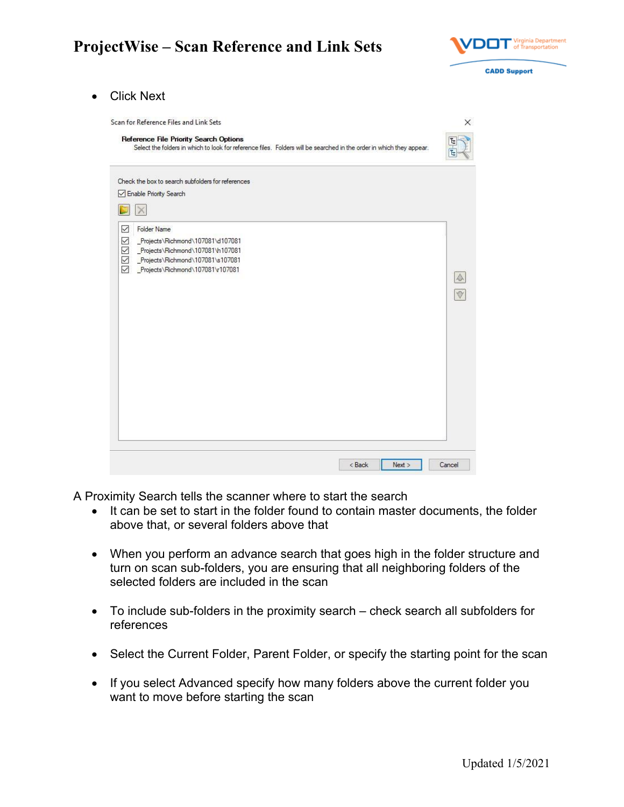

Click Next

| Reference File Priority Search Options<br>Select the folders in which to look for reference files. Folders will be searched in the order in which they appear.                                                  |                                     |
|-----------------------------------------------------------------------------------------------------------------------------------------------------------------------------------------------------------------|-------------------------------------|
| Check the box to search subfolders for references<br>Enable Priority Search<br><b>Folder Name</b><br>▽                                                                                                          |                                     |
| $\checkmark$<br>Projects\Richmond\107081\d107081<br>Projects\Richmond\107081\h107081<br>$\checkmark$<br>$\checkmark$<br>Projects\Richmond\107081\s107081<br>$\triangledown$<br>Projects\Richmond\107081\r107081 | $\blacktriangle$<br>$\triangledown$ |
|                                                                                                                                                                                                                 |                                     |

A Proximity Search tells the scanner where to start the search

- It can be set to start in the folder found to contain master documents, the folder above that, or several folders above that
- When you perform an advance search that goes high in the folder structure and turn on scan sub-folders, you are ensuring that all neighboring folders of the selected folders are included in the scan
- To include sub-folders in the proximity search check search all subfolders for references
- Select the Current Folder, Parent Folder, or specify the starting point for the scan
- If you select Advanced specify how many folders above the current folder you want to move before starting the scan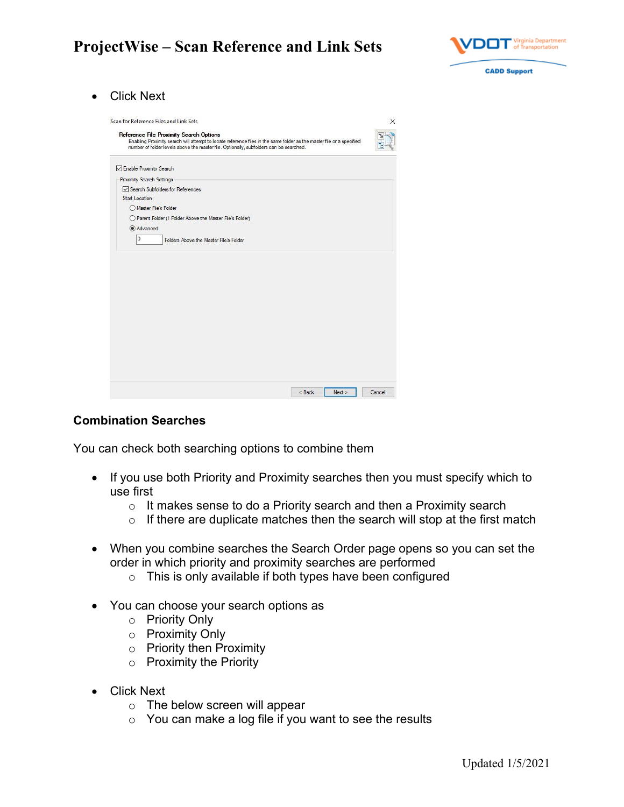

Click Next

| <b>Reference File Proximity Search Options</b>                                                                                                                                                                  |  |
|-----------------------------------------------------------------------------------------------------------------------------------------------------------------------------------------------------------------|--|
| Enabling Proximity search will attempt to locate reference files in the same folder as the master file or a specified<br>number of folder levels above the master file. Optionally, subfolders can be searched. |  |
| □ Enable Proximity Search                                                                                                                                                                                       |  |
| <b>Proximity Search Settings</b>                                                                                                                                                                                |  |
| Search Subfolders for References                                                                                                                                                                                |  |
| Start Location:                                                                                                                                                                                                 |  |
| Master File's Folder                                                                                                                                                                                            |  |
| ◯ Parent Folder (1 Folder Above the Master File's Folder)                                                                                                                                                       |  |
| Advanced:<br>$\overline{0}$<br>Folders Above the Master File's Folder                                                                                                                                           |  |
|                                                                                                                                                                                                                 |  |
|                                                                                                                                                                                                                 |  |

#### **Combination Searches**

You can check both searching options to combine them

- If you use both Priority and Proximity searches then you must specify which to use first
	- $\circ$  It makes sense to do a Priority search and then a Proximity search
	- $\circ$  If there are duplicate matches then the search will stop at the first match
- When you combine searches the Search Order page opens so you can set the order in which priority and proximity searches are performed
	- o This is only available if both types have been configured
- You can choose your search options as
	- o Priority Only
	- o Proximity Only
	- $\circ$  Priority then Proximity
	- o Proximity the Priority
- Click Next
	- o The below screen will appear
	- $\circ$  You can make a log file if you want to see the results